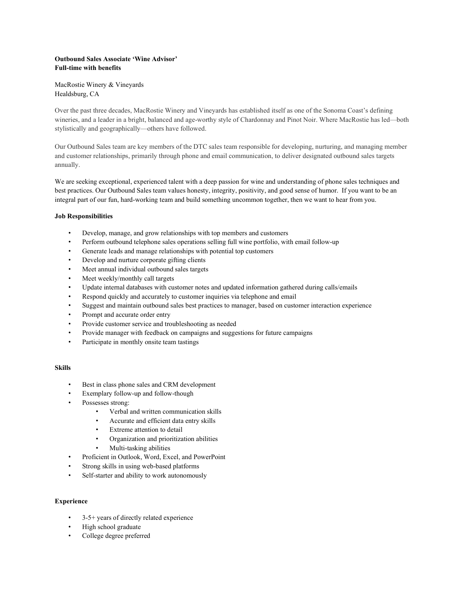# **Outbound Sales Associate 'Wine Advisor' Full-time with benefits**

MacRostie Winery & Vineyards Healdsburg, CA

Over the past three decades, MacRostie Winery and Vineyards has established itself as one of the Sonoma Coast's defining wineries, and a leader in a bright, balanced and age-worthy style of Chardonnay and Pinot Noir. Where MacRostie has led—both stylistically and geographically—others have followed.

Our Outbound Sales team are key members of the DTC sales team responsible for developing, nurturing, and managing member and customer relationships, primarily through phone and email communication, to deliver designated outbound sales targets annually.

We are seeking exceptional, experienced talent with a deep passion for wine and understanding of phone sales techniques and best practices. Our Outbound Sales team values honesty, integrity, positivity, and good sense of humor. If you want to be an integral part of our fun, hard-working team and build something uncommon together, then we want to hear from you.

## **Job Responsibilities**

- Develop, manage, and grow relationships with top members and customers
- Perform outbound telephone sales operations selling full wine portfolio, with email follow-up
- Generate leads and manage relationships with potential top customers
- Develop and nurture corporate gifting clients
- Meet annual individual outbound sales targets
- Meet weekly/monthly call targets
- Update internal databases with customer notes and updated information gathered during calls/emails
- Respond quickly and accurately to customer inquiries via telephone and email
- Suggest and maintain outbound sales best practices to manager, based on customer interaction experience
- Prompt and accurate order entry
- Provide customer service and troubleshooting as needed
- Provide manager with feedback on campaigns and suggestions for future campaigns
- Participate in monthly onsite team tastings

## **Skills**

- Best in class phone sales and CRM development
- Exemplary follow-up and follow-though
- Possesses strong:
	- Verbal and written communication skills
	- Accurate and efficient data entry skills
	- Extreme attention to detail
	- Organization and prioritization abilities
	- Multi-tasking abilities
- Proficient in Outlook, Word, Excel, and PowerPoint
- Strong skills in using web-based platforms
- Self-starter and ability to work autonomously

## **Experience**

- 3-5+ years of directly related experience
- High school graduate
- College degree preferred